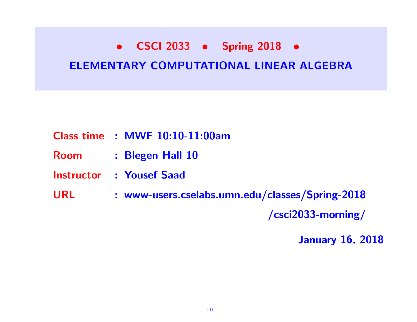# • CSCI 2033 • Spring 2018 • ELEMENTARY COMPUTATIONAL LINEAR ALGEBRA

- Class time : MWF 10:10-11:00am
- Room : Blegen Hall 10
- Instructor : Yousef Saad
- URL : www-users.cselabs.umn.edu/classes/Spring-2018

/csci2033-morning/

January 16, 2018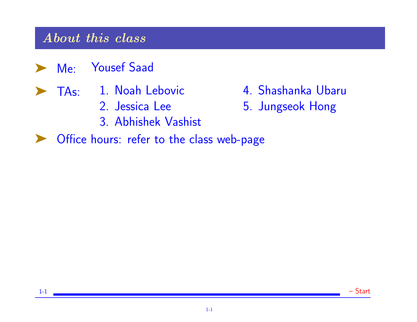#### About this class

- ➤ Me: Yousef Saad
- ▶ TAs: 1. Noah Lebovic
	- 2. Jessica Lee
	- 3. Abhishek Vashist
- ▶ Office hours: refer to the class web-page
- 4. Shashanka Ubaru
- 5. Jungseok Hong

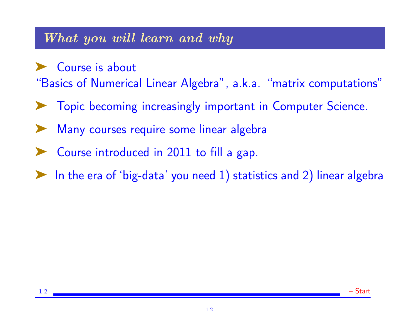#### What you will learn and why

➤ Course is about "Basics of Numerical Linear Algebra", a.k.a. "matrix computations"

- ➤ Topic becoming increasingly important in Computer Science.
- Many courses require some linear algebra
- ➤ Course introduced in 2011 to fill a gap.
- In the era of 'big-data' you need 1) statistics and 2) linear algebra

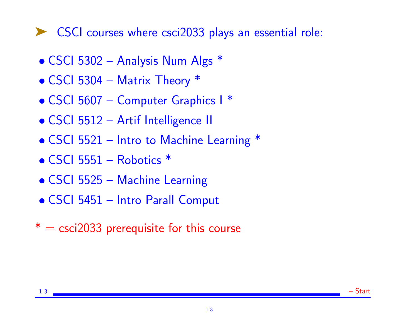# ▶ CSCI courses where csci2033 plays an essential role:

- CSCI 5302 Analysis Num Algs \*
- CSCI 5304 Matrix Theory \*
- CSCI 5607 Computer Graphics I<sup>\*</sup>
- CSCI 5512 Artif Intelligence II
- CSCI 5521 Intro to Machine Learning \*
- CSCI 5551 Robotics \*
- CSCI 5525 Machine Learning
- CSCI 5451 Intro Parall Comput
- $* =$  csci2033 prerequisite for this course

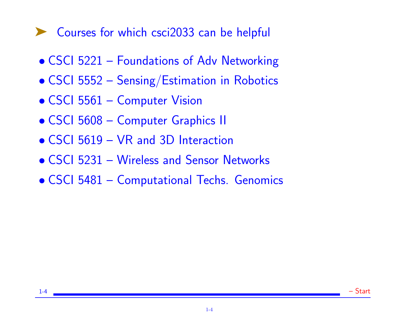# ▶ Courses for which csci2033 can be helpful

- CSCI 5221 Foundations of Adv Networking
- CSCI 5552 Sensing/Estimation in Robotics
- CSCI 5561 Computer Vision
- CSCI 5608 Computer Graphics II
- CSCI 5619 VR and 3D Interaction
- CSCI 5231 Wireless and Sensor Networks
- CSCI 5481 Computational Techs. Genomics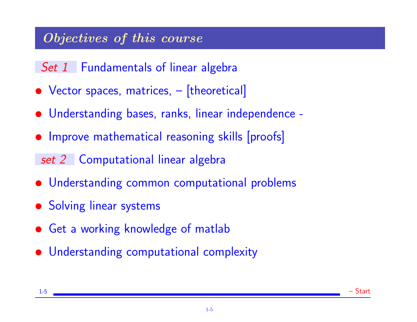# Objectives of this course

## Set 1 Fundamentals of linear algebra

- Vector spaces, matrices,  $-$  [theoretical]
- Understanding bases, ranks, linear independence -
- Improve mathematical reasoning skills [proofs]
- set 2 Computational linear algebra
- Understanding common computational problems
- Solving linear systems
- Get a working knowledge of matlab
- Understanding computational complexity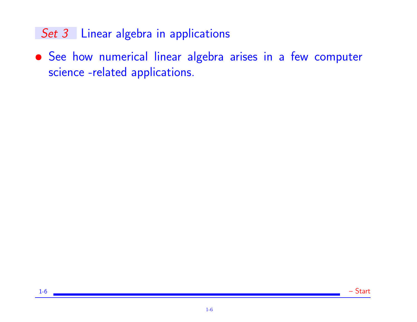## Set 3 Linear algebra in applications

• See how numerical linear algebra arises in a few computer science -related applications.

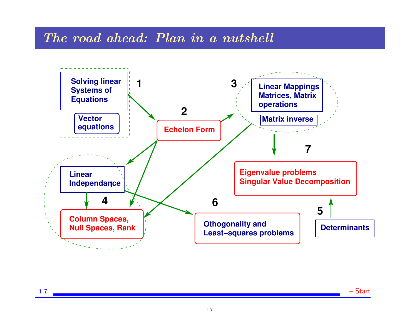#### The road ahead: Plan in a nutshell



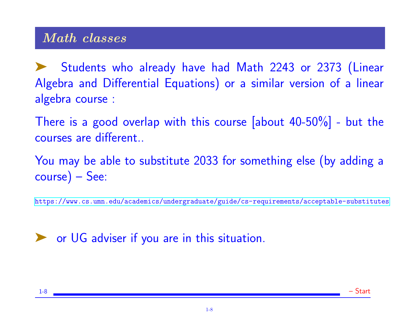## Math classes

Students who already have had Math 2243 or 2373 (Linear Algebra and Differential Equations) or a similar version of a linear algebra course :

There is a good overlap with this course [about 40-50%] - but the courses are different..

You may be able to substitute 2033 for something else (by adding a course) – See:

<https://www.cs.umn.edu/academics/undergraduate/guide/cs-requirements/acceptable-substitutes>

◆ or UG adviser if you are in this situation.

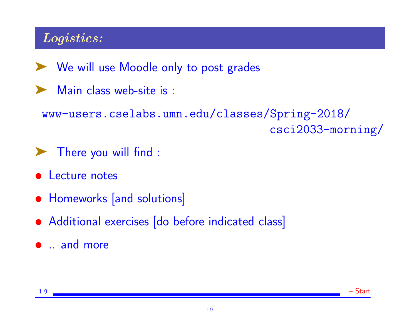# Logistics:

- ➤ We will use Moodle only to post grades
- Main class web-site is :

www-users.cselabs.umn.edu/classes/Spring-2018/ csci2033-morning/

- ➤ There you will find :
- Lecture notes
- Homeworks [and solutions]
- Additional exercises [do before indicated class]
- .. and more

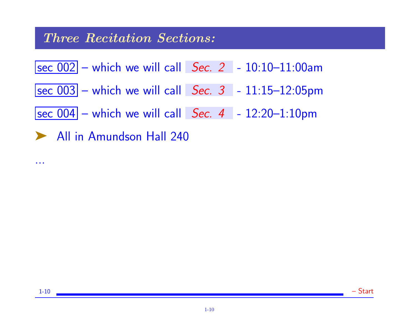#### Three Recitation Sections:

...



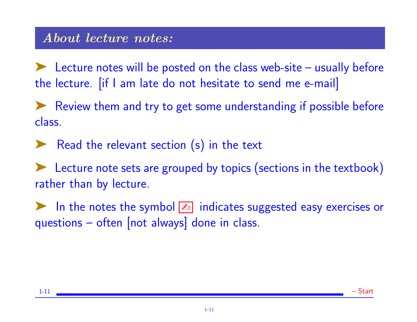➤ Lecture notes will be posted on the class web-site – usually before the lecture. [if I am late do not hesitate to send me e-mail]

➤ Review them and try to get some understanding if possible before class.

▶ Read the relevant section (s) in the text

► Lecture note sets are grouped by topics (sections in the textbook) rather than by lecture.

In the notes the symbol  $\mathbb{Z}$  indicates suggested easy exercises or questions – often [not always] done in class.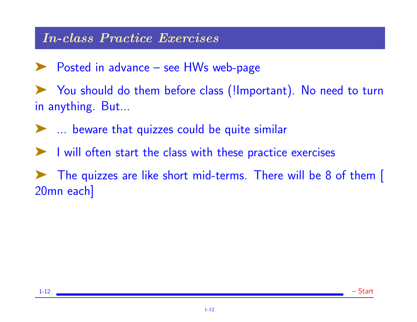### In-class Practice Exercises

➤ Posted in advance – see HWs web-page

➤ You should do them before class (!Important). No need to turn in anything. But...

➤ ... beware that quizzes could be quite similar

➤ I will often start the class with these practice exercises

➤ The quizzes are like short mid-terms. There will be 8 of them [ 20mn each]

1-12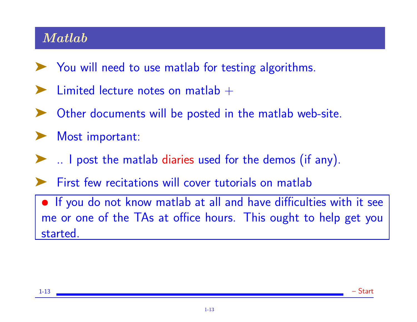## Matlab

- ➤ You will need to use matlab for testing algorithms.
- **Limited lecture notes on matlab**  $+$
- Other documents will be posted in the matlab web-site.
- Most important:
	- ∴ I post the matlab diaries used for the demos (if any).
- First few recitations will cover tutorials on matlab

• If you do not know matlab at all and have difficulties with it see me or one of the TAs at office hours. This ought to help get you started.

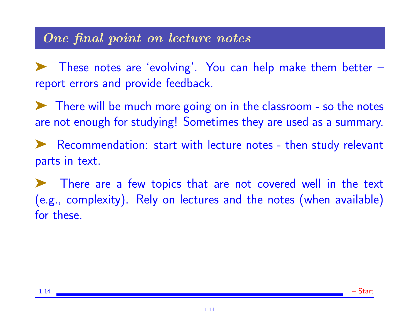#### One final point on lecture notes

➤ These notes are 'evolving'. You can help make them better – report errors and provide feedback.

➤ There will be much more going on in the classroom - so the notes are not enough for studying! Sometimes they are used as a summary.

➤ Recommendation: start with lecture notes - then study relevant parts in text.

There are a few topics that are not covered well in the text (e.g., complexity). Rely on lectures and the notes (when available) for these.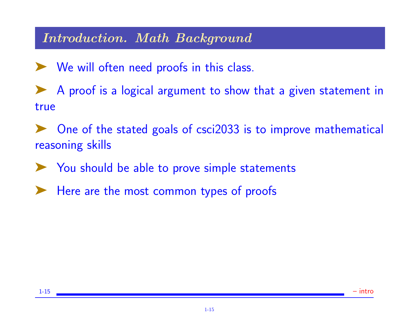### Introduction. Math Background

► We will often need proofs in this class.

◆ A proof is a logical argument to show that a given statement in true

One of the stated goals of csci2033 is to improve mathematical reasoning skills

➤ You should be able to prove simple statements

Here are the most common types of proofs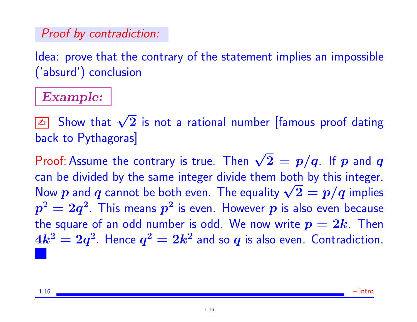## Proof by contradiction:

Idea: prove that the contrary of the statement implies an impossible ('absurd') conclusion

## Example:

 $\sqrt{\frac{\mathbb{Z}_0}{2}}$  Show that  $\sqrt{2}$  is not a rational number [famous proof dating back to Pythagoras]

Proof: Assume the contrary is true. Then  $\sqrt{2} = p/q$ . If  $p$  and  $q$ can be divided by the same integer divide them both by this integer. can be divided by the same integer divide them both by this integer.<br>Now  $p$  and  $q$  cannot be both even. The equality  $\sqrt{2}=p/q$  implies  $\bm{p^2} = \bm{2}\bm{q^2}$ . This means  $\bm{p^2}$  is even. However  $\bm{p}$  is also even because the square of an odd number is odd. We now write  $p = 2k$ . Then  $4k^2=2q^2$ . Hence  $q^2=2k^2$  and so  $q$  is also even. Contradiction.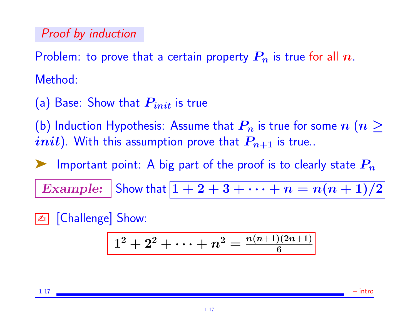### Proof by induction

Problem: to prove that a certain property  $P_n$  is true for all  $n$ . Method:

(a) Base: Show that  $P_{init}$  is true

(b) Induction Hypothesis: Assume that  $P_n$  is true for some  $n$   $(n \geq 1)$ *init*). With this assumption prove that  $P_{n+1}$  is true..

Important point: A big part of the proof is to clearly state  $P_n$ 

Example: Show that  $1+2+3+\cdots+n=n(n+1)/2$ 

**En** [Challenge] Show:

$$
\boxed{1^2+2^2+\cdots+n^2=\frac{n(n+1)(2n+1)}{6}}
$$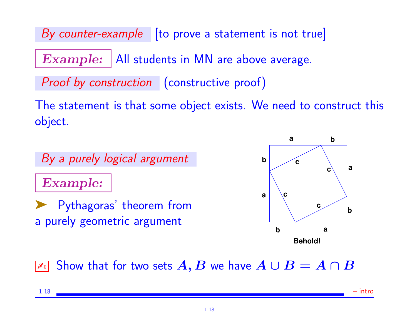By counter-example  $\vert$  [to prove a statement is not true]

 $Example: |All students in MN are above average.$ 

Proof by construction (constructive proof)

The statement is that some object exists. We need to construct this object.

By a purely logical argument

Example:

➤ Pythagoras' theorem from a purely geometric argument



✍ Show that for two sets A, B we have A ∪ B = A ∩ B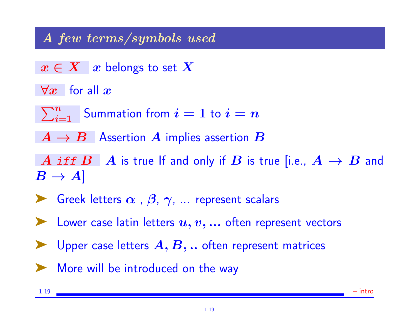## A few terms/symbols used

- $x \in X \mid x$  belongs to set  $X$
- $\forall x$  for all  $x$ 
	- $\sum_{i=1}^n$  Summation from  $i=1$  to  $i=n$
- $A \rightarrow B$  Assertion A implies assertion B

A iff  $B \mid A$  is true If and only if B is true [i.e.,  $A \rightarrow B$  and  $B \to A$ 

- Since Figure 1 Greek letters  $\alpha$  ,  $\beta$ ,  $\gamma$ , ... represent scalars
- $\blacktriangleright$  Lower case latin letters  $u, v, ...$  often represent vectors
- $\blacktriangleright$  Upper case letters  $A, B, ...$  often represent matrices
- ➤ More will be introduced on the way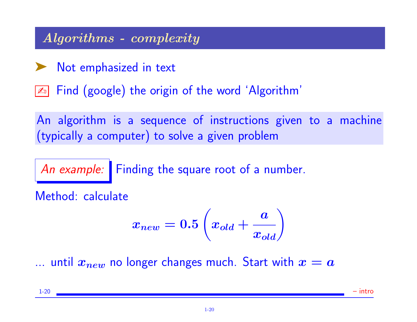## Algorithms - complexity

➤ Not emphasized in text

**Ex** Find (google) the origin of the word 'Algorithm'

An algorithm is a sequence of instructions given to a machine (typically a computer) to solve a given problem

An example: Finding the square root of a number.

Method: calculate

$$
x_{new} = 0.5\left(x_{old} + \frac{a}{x_{old}}\right)
$$

... until  $x_{new}$  no longer changes much. Start with  $x = a$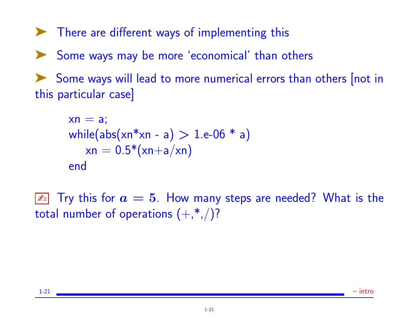➤ There are different ways of implementing this ➤ Some ways may be more 'economical' than others Some ways will lead to more numerical errors than others [not in this particular case]

```
xn = a;
while(abs(xn*xn - a) > 1.e-06 * a)
   xn = 0.5*(xn+a/xn)end
```
 $\boxed{\mathbb{Z}_0}$  Try this for  $a=5.$  How many steps are needed? What is the total number of operations  $(+, *, ))$ ?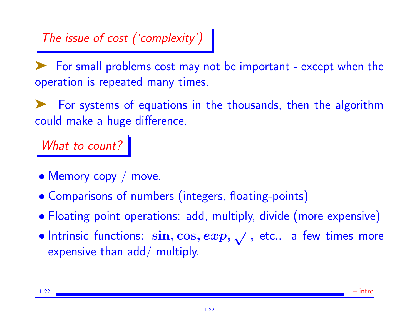# The issue of cost ('complexity')

➤ For small problems cost may not be important - except when the operation is repeated many times.

➤ For systems of equations in the thousands, then the algorithm could make a huge difference.

What to count?

- Memory copy / move.
- Comparisons of numbers (integers, floating-points)
- Floating point operations: add, multiply, divide (more expensive)
- Intrinsic functions:  $\sin, \cos, exp, \sqrt{2}$ , etc.. a few times more expensive than add/ multiply.

1-22 – intro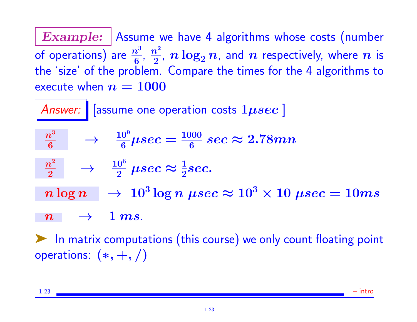**Example:** Assume we have 4 algorithms whose costs (number of operations) are  $\frac{n^3}{6}$  $\frac{n^3}{6},~\frac{n^2}{2}$  $\frac{n^2}{2}$ ,  $n\log_2 n$ , and  $n$  respectively, where  $n$  is the 'size' of the problem. Compare the times for the 4 algorithms to execute when  $n = 1000$ 

Answer:  $|$  [assume one operation costs  $1 \mu sec$  ]  $\frac{n^3}{6}$   $\longrightarrow$   $\frac{10^9}{6}\mu sec = \frac{1000}{6}$  $\frac{100}{6}\ sec \approx 2.78mn$  $\frac{n^2}{2} \quad \rightarrow \quad \frac{10^6}{2} \; \mu sec \approx \frac{1}{2} sec.$  $n\log n~~\rightarrow ~10^3\log n~\mu sec \thickapprox 10^3\times 10~\mu sec = 10ms$  $n \rightarrow 1 \, ms.$ 

▶ In matrix computations (this course) we only count floating point operations:  $(*, +, /)$ 

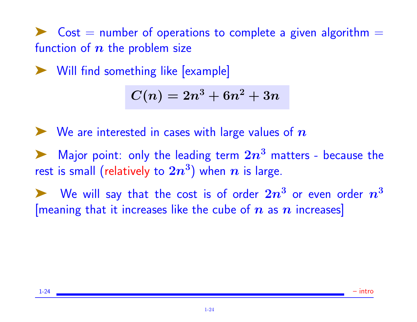$Cost =$  number of operations to complete a given algorithm  $=$ function of  $n$  the problem size

➤ Will find something like [example]

$$
C(n)=2n^3+6n^2+3n\\
$$

 $\blacktriangleright$  We are interested in cases with large values of  $n$ 

A Major point: only the leading term  $2n^3$  matters - because the rest is small (relatively to  $2n^3)$  when  $\boldsymbol{n}$  is large.

 $\blacktriangleright$  We will say that the cost is of order  $2n^3$  or even order  $n^3$ [meaning that it increases like the cube of  $n$  as  $n$  increases]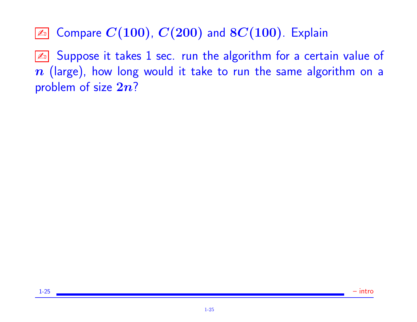$\boxed{\mathbb{Z}^n}$  Compare  $C(100)$ ,  $C(200)$  and  $8C(100)$ . Explain

 $\boxed{\mathbb{Z}^n}$  Suppose it takes 1 sec. run the algorithm for a certain value of  $n$  (large), how long would it take to run the same algorithm on a problem of size  $2n$ ?

1-25 – intro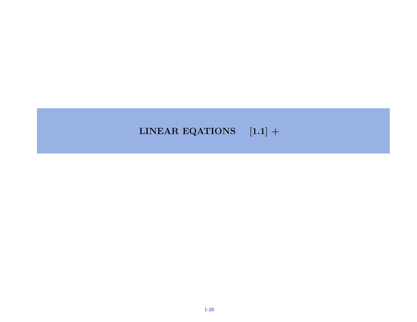#### LINEAR EQATIONS  $[1.1]$  +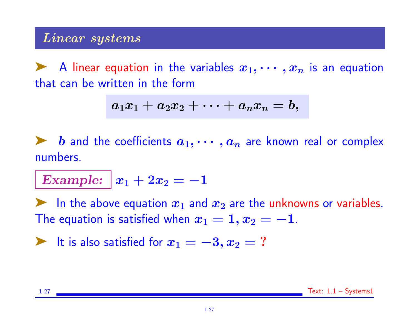#### Linear systems

A linear equation in the variables  $x_1, \cdots, x_n$  is an equation that can be written in the form

$$
a_1x_1+a_2x_2+\cdots+a_nx_n=b,
$$

**EXECUTE:**  $\boldsymbol{b}$  and the coefficients  $a_1, \cdots, a_n$  are known real or complex numbers.

Example:  $x_1 + 2x_2 = -1$ 

In the above equation  $x_1$  and  $x_2$  are the unknowns or variables. The equation is satisfied when  $x_1 = 1, x_2 = -1$ .

► It is also satisfied for  $x_1 = -3, x_2 = ?$ 

1-27 Text: 1.1 – Systems1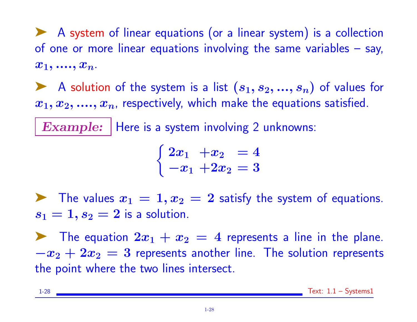◆ A system of linear equations (or a linear system) is a collection of one or more linear equations involving the same variables – say,  $x_1, \ldots, x_n.$ 

A solution of the system is a list  $(s_1, s_2, ..., s_n)$  of values for  $x_1, x_2, \ldots, x_n$ , respectively, which make the equations satisfied.

Example: | Here is a system involving 2 unknowns:

$$
\begin{cases} 2x_1 + x_2 = 4 \\ -x_1 + 2x_2 = 3 \end{cases}
$$

The values  $x_1 = 1, x_2 = 2$  satisfy the system of equations.  $s_1 = 1, s_2 = 2$  is a solution.

The equation  $2x_1 + x_2 = 4$  represents a line in the plane.  $-x_2 + 2x_2 = 3$  represents another line. The solution represents the point where the two lines intersect.

1-28 Text: 1.1 – Systems1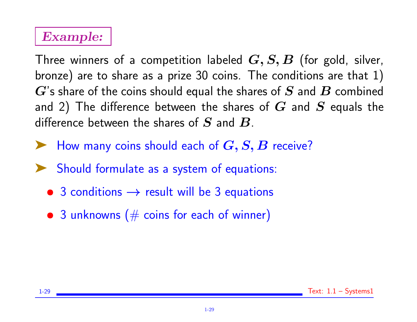# Example:

Three winners of a competition labeled  $G, S, B$  (for gold, silver, bronze) are to share as a prize 30 coins. The conditions are that 1)  $G$ 's share of the coins should equal the shares of  $S$  and  $B$  combined and 2) The difference between the shares of  $G$  and  $S$  equals the difference between the shares of  $S$  and  $B$ .

- $\blacktriangleright$  How many coins should each of  $G, S, B$  receive?
- Should formulate as a system of equations:
	- 3 conditions  $\rightarrow$  result will be 3 equations
	- $\bullet$  3 unknowns ( $\#$  coins for each of winner)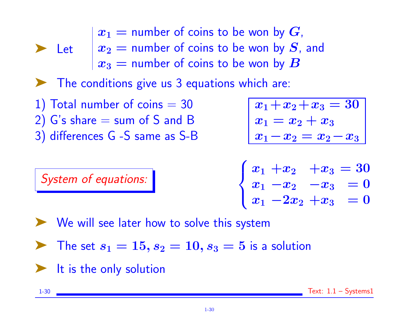Let  $x_2 =$  number of coins to be won by  $S$ , and  $x_1$  = number of coins to be won by  $G$ ,  $\bm{x_3} =$  number of coins to be won by  $\bm{B}$ 

➤ The conditions give us 3 equations which are:

- 1) Total number of coins  $=$  30 2)  $G$ 's share  $=$  sum of  $S$  and  $B$
- 3) differences G -S same as S-B

$$
\boxed{x_1 + x_2 + x_3 = 30 \ x_1 = x_2 + x_3 \ x_1 - x_2 = x_2 - x_3}
$$

 $\sqrt{ }$  $\int$  $\overline{\mathcal{L}}$  $x_1 + x_2$   $+x_3 = 30$  $x_1 - x_2 -x_3 = 0$  $x_1 - 2x_2 + x_3 = 0$ 

➤ We will see later how to solve this system

 $\blacktriangleright$  The set  $s_1 = 15$ ,  $s_2 = 10$ ,  $s_3 = 5$  is a solution

 $\blacktriangleright$  It is the only solution

System of equations:

1-30 Text: 1.1 – Systems1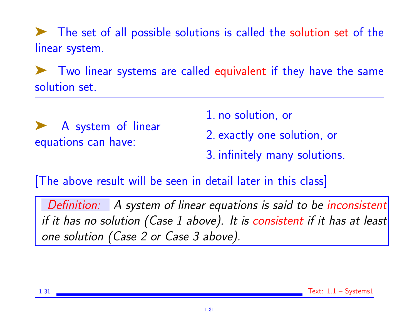➤ The set of all possible solutions is called the solution set of the linear system.

➤ Two linear systems are called equivalent if they have the same solution set.

➤ A system of linear equations can have:

1. no solution, or

2. exactly one solution, or

3. infinitely many solutions.

[The above result will be seen in detail later in this class]

Definition: A system of linear equations is said to be inconsistent if it has no solution (Case 1 above). It is consistent if it has at least one solution (Case 2 or Case 3 above).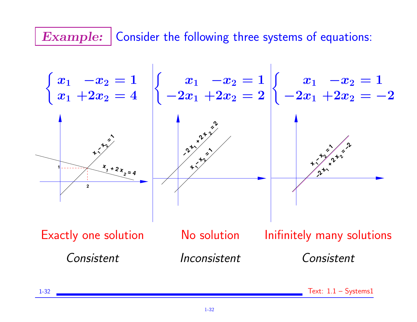# **Example:** Consider the following three systems of equations:

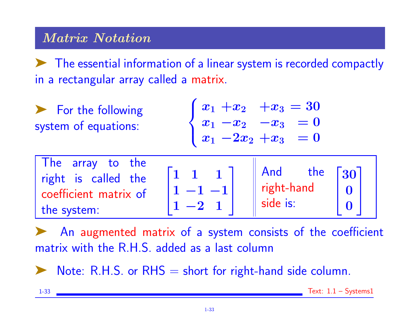## Matrix Notation

➤ The essential information of a linear system is recorded compactly in a rectangular array called a matrix.

▶ For the following system of equations:

$$
\begin{cases} \, x_1 \ + x_2 \quad + x_3 = 30 \\ \, x_1 \ - x_2 \quad - x_3 \quad = 0 \\ \, x_1 \ - 2 x_2 \ + x_3 \quad = 0 \end{cases}
$$

| The array to the      |                        |                    |
|-----------------------|------------------------|--------------------|
| right is called the   | And<br>the             | $\lceil 30 \rceil$ |
| coefficient matrix of | $\parallel$ right-hand |                    |
| the system:           | side is:               |                    |
|                       |                        |                    |

An augmented matrix of a system consists of the coefficient matrix with the R.H.S. added as a last column

Note:  $R.H.S.$  or  $RHS =$  short for right-hand side column.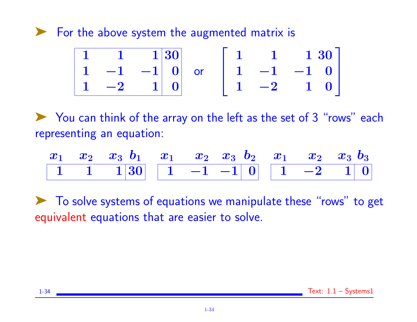➤ For the above system the augmented matrix is

$$
\begin{array}{|c|c|c|c|c|}\n\hline\n1 & 1 & 1 & 30 \\
1 & -1 & -1 & 0 \\
1 & -2 & 1 & 0 \\
\hline\n\end{array}\n\quad \text{or} \quad\n\begin{bmatrix}\n1 & 1 & 1 & 30 \\
1 & -1 & -1 & 0 \\
1 & -2 & 1 & 0 \\
\hline\n\end{bmatrix}
$$

➤ You can think of the array on the left as the set of 3 "rows" each representing an equation:

$$
\begin{array}{|c|c|c|c|c|c|c|c|c|c|} \hline x_1&x_2&x_3&b_1&x_2&x_3&b_2&x_1&x_2&x_3&b_3 \\ \hline 1&1&1&30&1&-1&-1&0&1&-2&1&0 \\ \hline \end{array}
$$

➤ To solve systems of equations we manipulate these "rows" to get equivalent equations that are easier to solve.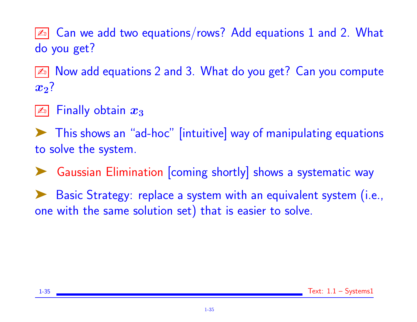$\boxed{\mathbb{Z}^n}$  Can we add two equations/rows? Add equations 1 and 2. What do you get?

 $\boxed{\mathbb{Z}^n}$  Now add equations 2 and 3. What do you get? Can you compute  $x_2$ ?

### Finally obtain  $x_3$

➤ This shows an "ad-hoc" [intuitive] way of manipulating equations to solve the system.

➤ Gaussian Elimination [coming shortly] shows a systematic way

Basic Strategy: replace a system with an equivalent system (i.e., one with the same solution set) that is easier to solve.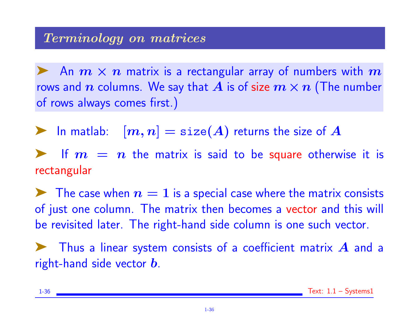An  $m \times n$  matrix is a rectangular array of numbers with  $m$ rows and n columns. We say that A is of size  $m \times n$  (The number of rows always comes first.)

ighthrow In matlab:  $[m, n] = \text{size}(A)$  returns the size of  $A$ 

If  $m = n$  the matrix is said to be square otherwise it is rectangular

 $\blacktriangleright$  The case when  $n=1$  is a special case where the matrix consists of just one column. The matrix then becomes a vector and this will be revisited later. The right-hand side column is one such vector.

Thus a linear system consists of a coefficient matrix  $\boldsymbol{A}$  and a right-hand side vector **.**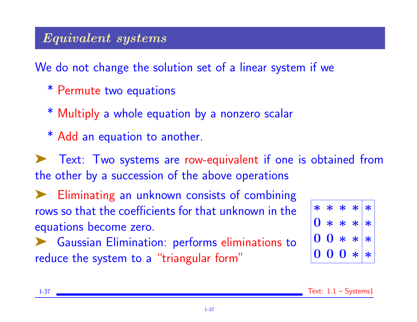### Equivalent systems

We do not change the solution set of a linear system if we

- \* Permute two equations
- \* Multiply a whole equation by a nonzero scalar
- \* Add an equation to another.

Text: Two systems are row-equivalent if one is obtained from the other by a succession of the above operations

➤ Eliminating an unknown consists of combining rows so that the coefficients for that unknown in the equations become zero.

◆ Gaussian Elimination: performs eliminations to reduce the system to a "triangular form"

| $\ast$           | $\ast$           | $\ast$           | $* *$          |        |
|------------------|------------------|------------------|----------------|--------|
| $\boldsymbol{0}$ | $\ast$           | $\ast$           | $\star$        | $\ast$ |
| $\bf{0}$         | $\mathbf 0$      | $\ast$           | $*$            | $\ast$ |
| $\boldsymbol{0}$ | $\boldsymbol{0}$ | $\boldsymbol{0}$ | $\big\}\big\ $ | $\ast$ |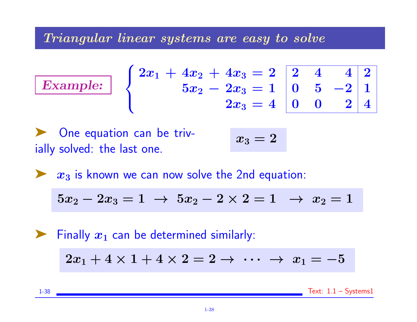Triangular linear systems are easy to solve

$$
\left\{\begin{array}{c}2x_1+4x_2+4x_3=2\\\phantom{-}5x_2-2x_3=1\end{array}\right.\left|\begin{array}{c}2&4&4\\0&5&-2\\2x_3=4\end{array}\right.\left|\begin{array}{c}2&4\\0&5&-2\\0&0&2\end{array}\right|
$$

One equation can be trivially solved: the last one.

Example:

$$
x_3=2
$$

 $x_3$  is known we can now solve the 2nd equation:

$$
5x_2-2x_3=1 \ \to \ 5x_2-2\times 2=1 \ \ \to \ x_2=1
$$

 $\blacktriangleright$  Finally  $x_1$  can be determined similarly:  $2x_1 + 4 \times 1 + 4 \times 2 = 2 \rightarrow \cdots \rightarrow x_1 = -5$ 

1-38 Text: 1.1 – Systems1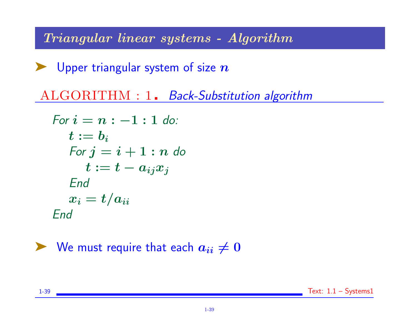Triangular linear systems - Algorithm

 $\blacktriangleright$  Upper triangular system of size  $n$ 

ALGORITHM : 1. Back-Substitution algorithm

$$
\begin{aligned} \textit{For } i &= n:-1:1 \; \textit{do:} \\ \textit{t} &:= \textit{b}_i \\ \textit{For } j &= i+1: n \; \textit{do} \\ \textit{t} &:= t - a_{ij}x_j \\ \textit{End} \\ \textit{End} \\ \textit{End} \end{aligned}
$$

$$
\blacktriangleright
$$
 We must require that each  $a_{ii} \neq 0$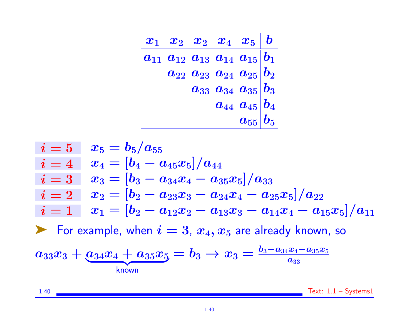$$
\begin{array}{|c|c|c|} \hline x_1 & x_2 & x_2 & x_4 & x_5 & b \\ \hline a_{11} & a_{12} & a_{13} & a_{14} & a_{15} & b_1 \\ \hline a_{22} & a_{23} & a_{24} & a_{25} & b_2 \\ a_{33} & a_{34} & a_{35} & b_3 \\ a_{44} & a_{45} & b_4 & a_{55} & b_5 \\ \hline \end{array}
$$

$$
\begin{array}{ll}\ni=5 & x_5=b_5/a_{55} \\
i=4 & x_4=[b_4-a_{45}x_5]/a_{44} \\
i=3 & x_3=[b_3-a_{34}x_4-a_{35}x_5]/a_{33} \\
i=2 & x_2=[b_2-a_{23}x_3-a_{24}x_4-a_{25}x_5]/a_{22} \\
i=1 & x_1=[b_2-a_{12}x_2-a_{13}x_3-a_{14}x_4-a_{15}x_5]/a_{11} \\
\blacktriangleright \text{ For example, when } i=3, x_4, x_5 \text{ are already known, so} \\
a_{33}x_3+\underbrace{a_{34}x_4+a_{35}x_5}=b_3 \rightarrow x_3=\frac{b_3-a_{34}x_4-a_{35}x_5}{a_{33}} \\
\text{known}\n\end{array}
$$

1-40 Text: 1.1 – Systems1